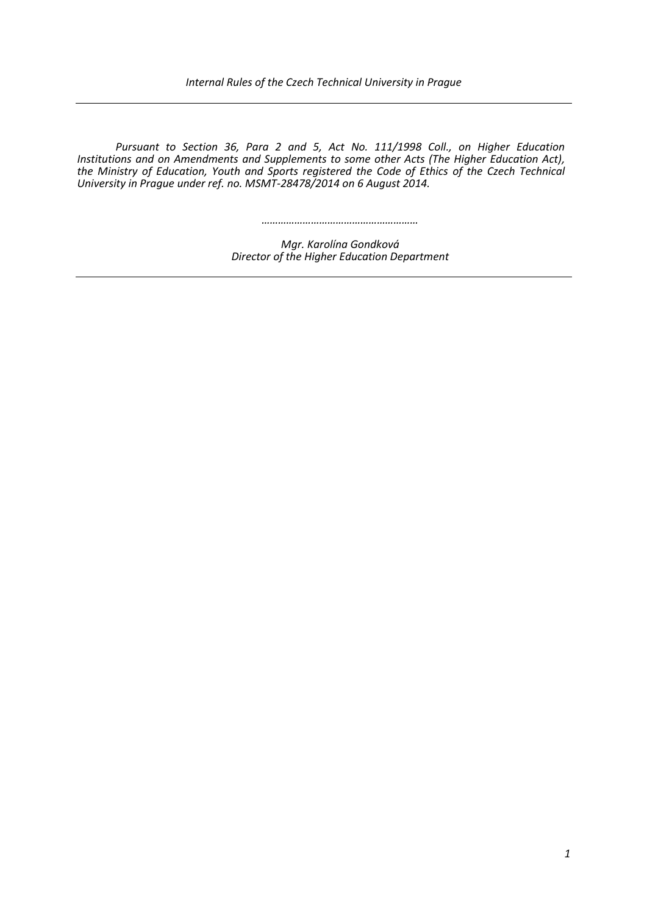*Pursuant to Section 36, Para 2 and 5, Act No. 111/1998 Coll., on Higher Education Institutions and on Amendments and Supplements to some other Acts (The Higher Education Act), the Ministry of Education, Youth and Sports registered the Code of Ethics of the Czech Technical University in Prague under ref. no. MSMT-28478/2014 on 6 August 2014.*

*…………………………………………………*

*Mgr. Karolína Gondková Director of the Higher Education Department*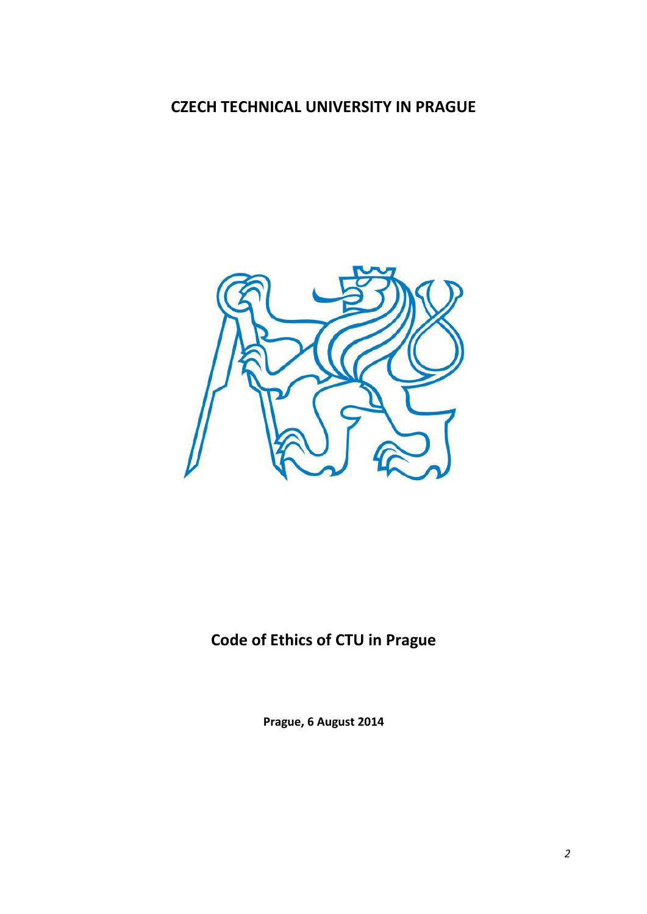## **CZECH TECHNICAL UNIVERSITY IN PRAGUE**



# **Code of Ethics of CTU in Prague**

**Prague, 6 August 2014**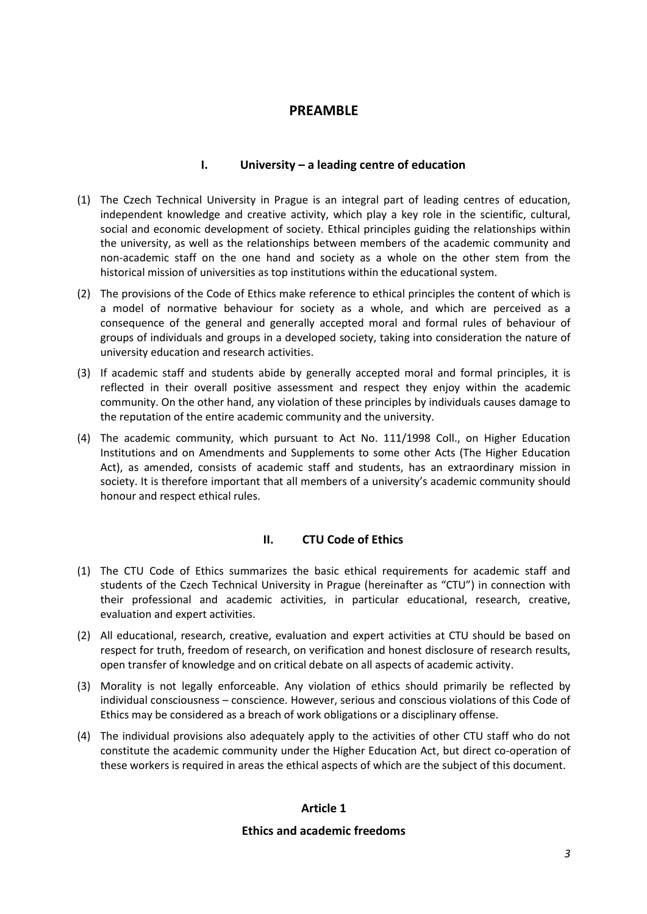## **PREAMBLE**

#### **I. University – a leading centre of education**

- (1) The Czech Technical University in Prague is an integral part of leading centres of education, independent knowledge and creative activity, which play a key role in the scientific, cultural, social and economic development of society. Ethical principles guiding the relationships within the university, as well as the relationships between members of the academic community and non-academic staff on the one hand and society as a whole on the other stem from the historical mission of universities as top institutions within the educational system.
- (2) The provisions of the Code of Ethics make reference to ethical principles the content of which is a model of normative behaviour for society as a whole, and which are perceived as a consequence of the general and generally accepted moral and formal rules of behaviour of groups of individuals and groups in a developed society, taking into consideration the nature of university education and research activities.
- (3) If academic staff and students abide by generally accepted moral and formal principles, it is reflected in their overall positive assessment and respect they enjoy within the academic community. On the other hand, any violation of these principles by individuals causes damage to the reputation of the entire academic community and the university.
- (4) The academic community, which pursuant to Act No. 111/1998 Coll., on Higher Education Institutions and on Amendments and Supplements to some other Acts (The Higher Education Act), as amended, consists of academic staff and students, has an extraordinary mission in society. It is therefore important that all members of a university's academic community should honour and respect ethical rules.

## **II. CTU Code of Ethics**

- (1) The CTU Code of Ethics summarizes the basic ethical requirements for academic staff and students of the Czech Technical University in Prague (hereinafter as "CTU") in connection with their professional and academic activities, in particular educational, research, creative, evaluation and expert activities.
- (2) All educational, research, creative, evaluation and expert activities at CTU should be based on respect for truth, freedom of research, on verification and honest disclosure of research results, open transfer of knowledge and on critical debate on all aspects of academic activity.
- (3) Morality is not legally enforceable. Any violation of ethics should primarily be reflected by individual consciousness – conscience. However, serious and conscious violations of this Code of Ethics may be considered as a breach of work obligations or a disciplinary offense.
- (4) The individual provisions also adequately apply to the activities of other CTU staff who do not constitute the academic community under the Higher Education Act, but direct co-operation of these workers is required in areas the ethical aspects of which are the subject of this document.

#### **Article 1**

#### **Ethics and academic freedoms**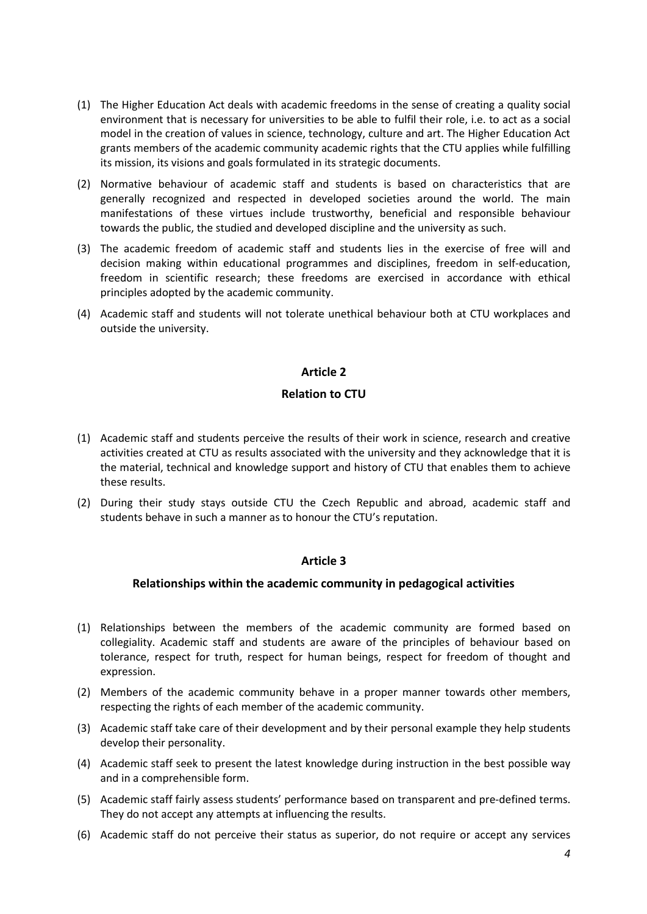- (1) The Higher Education Act deals with academic freedoms in the sense of creating a quality social environment that is necessary for universities to be able to fulfil their role, i.e. to act as a social model in the creation of values in science, technology, culture and art. The Higher Education Act grants members of the academic community academic rights that the CTU applies while fulfilling its mission, its visions and goals formulated in its strategic documents.
- (2) Normative behaviour of academic staff and students is based on characteristics that are generally recognized and respected in developed societies around the world. The main manifestations of these virtues include trustworthy, beneficial and responsible behaviour towards the public, the studied and developed discipline and the university as such.
- (3) The academic freedom of academic staff and students lies in the exercise of free will and decision making within educational programmes and disciplines, freedom in self-education, freedom in scientific research; these freedoms are exercised in accordance with ethical principles adopted by the academic community.
- (4) Academic staff and students will not tolerate unethical behaviour both at CTU workplaces and outside the university.

#### **Article 2**

#### **Relation to CTU**

- (1) Academic staff and students perceive the results of their work in science, research and creative activities created at CTU as results associated with the university and they acknowledge that it is the material, technical and knowledge support and history of CTU that enables them to achieve these results.
- (2) During their study stays outside CTU the Czech Republic and abroad, academic staff and students behave in such a manner as to honour the CTU's reputation.

#### **Article 3**

#### **Relationships within the academic community in pedagogical activities**

- (1) Relationships between the members of the academic community are formed based on collegiality. Academic staff and students are aware of the principles of behaviour based on tolerance, respect for truth, respect for human beings, respect for freedom of thought and expression.
- (2) Members of the academic community behave in a proper manner towards other members, respecting the rights of each member of the academic community.
- (3) Academic staff take care of their development and by their personal example they help students develop their personality.
- (4) Academic staff seek to present the latest knowledge during instruction in the best possible way and in a comprehensible form.
- (5) Academic staff fairly assess students' performance based on transparent and pre-defined terms. They do not accept any attempts at influencing the results.
- (6) Academic staff do not perceive their status as superior, do not require or accept any services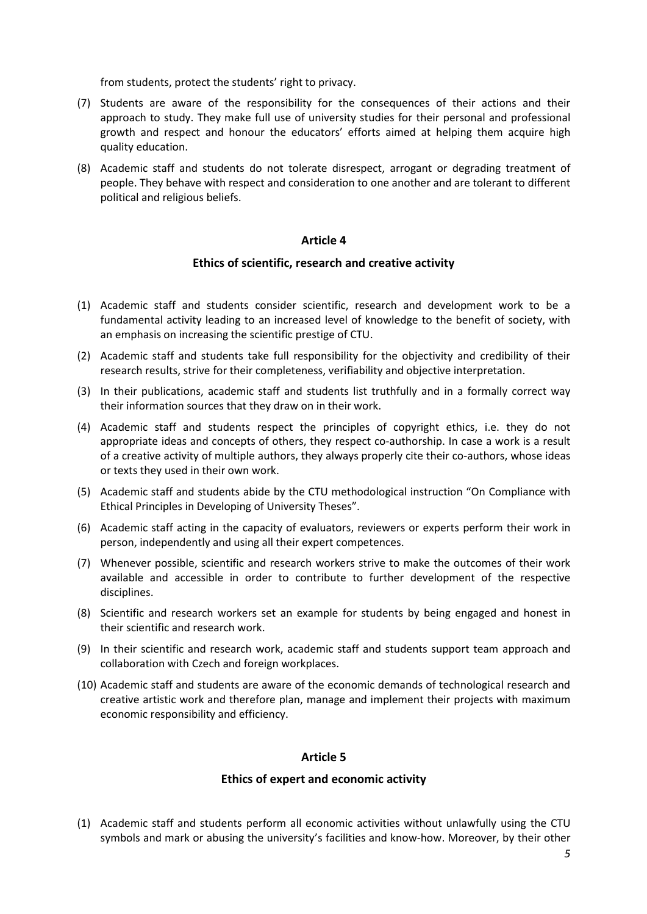from students, protect the students' right to privacy.

- (7) Students are aware of the responsibility for the consequences of their actions and their approach to study. They make full use of university studies for their personal and professional growth and respect and honour the educators' efforts aimed at helping them acquire high quality education.
- (8) Academic staff and students do not tolerate disrespect, arrogant or degrading treatment of people. They behave with respect and consideration to one another and are tolerant to different political and religious beliefs.

#### **Article 4**

#### **Ethics of scientific, research and creative activity**

- (1) Academic staff and students consider scientific, research and development work to be a fundamental activity leading to an increased level of knowledge to the benefit of society, with an emphasis on increasing the scientific prestige of CTU.
- (2) Academic staff and students take full responsibility for the objectivity and credibility of their research results, strive for their completeness, verifiability and objective interpretation.
- (3) In their publications, academic staff and students list truthfully and in a formally correct way their information sources that they draw on in their work.
- (4) Academic staff and students respect the principles of copyright ethics, i.e. they do not appropriate ideas and concepts of others, they respect co-authorship. In case a work is a result of a creative activity of multiple authors, they always properly cite their co-authors, whose ideas or texts they used in their own work.
- (5) Academic staff and students abide by the CTU methodological instruction "On Compliance with Ethical Principles in Developing of University Theses".
- (6) Academic staff acting in the capacity of evaluators, reviewers or experts perform their work in person, independently and using all their expert competences.
- (7) Whenever possible, scientific and research workers strive to make the outcomes of their work available and accessible in order to contribute to further development of the respective disciplines.
- (8) Scientific and research workers set an example for students by being engaged and honest in their scientific and research work.
- (9) In their scientific and research work, academic staff and students support team approach and collaboration with Czech and foreign workplaces.
- (10) Academic staff and students are aware of the economic demands of technological research and creative artistic work and therefore plan, manage and implement their projects with maximum economic responsibility and efficiency.

#### **Article 5**

#### **Ethics of expert and economic activity**

(1) Academic staff and students perform all economic activities without unlawfully using the CTU symbols and mark or abusing the university's facilities and know-how. Moreover, by their other